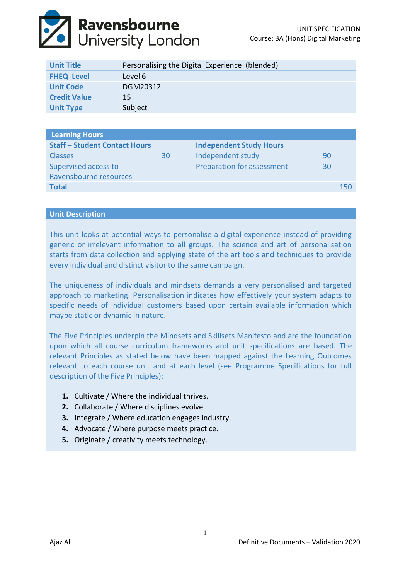

| <b>Unit Title</b>   | Personalising the Digital Experience (blended) |
|---------------------|------------------------------------------------|
| <b>FHEQ Level</b>   | Level 6                                        |
| <b>Unit Code</b>    | DGM20312                                       |
| <b>Credit Value</b> | 15                                             |
| <b>Unit Type</b>    | Subject                                        |

| <b>Learning Hours</b>                |    |                                |    |     |  |  |
|--------------------------------------|----|--------------------------------|----|-----|--|--|
| <b>Staff - Student Contact Hours</b> |    | <b>Independent Study Hours</b> |    |     |  |  |
| <b>Classes</b>                       | 30 | Independent study              | 90 |     |  |  |
| Supervised access to                 |    | Preparation for assessment     | 30 |     |  |  |
| Ravensbourne resources               |    |                                |    |     |  |  |
| <b>Total</b>                         |    |                                |    | 150 |  |  |

## **Unit Description**

This unit looks at potential ways to personalise a digital experience instead of providing generic or irrelevant information to all groups. The science and art of personalisation starts from data collection and applying state of the art tools and techniques to provide every individual and distinct visitor to the same campaign.

The uniqueness of individuals and mindsets demands a very personalised and targeted approach to marketing. Personalisation indicates how effectively your system adapts to specific needs of individual customers based upon certain available information which maybe static or dynamic in nature.

The Five Principles underpin the Mindsets and Skillsets Manifesto and are the foundation upon which all course curriculum frameworks and unit specifications are based. The relevant Principles as stated below have been mapped against the Learning Outcomes relevant to each course unit and at each level (see Programme Specifications for full description of the Five Principles):

- **1.** Cultivate / Where the individual thrives.
- **2.** Collaborate / Where disciplines evolve.
- **3.** Integrate / Where education engages industry.
- **4.** Advocate / Where purpose meets practice.
- **5.** Originate / creativity meets technology.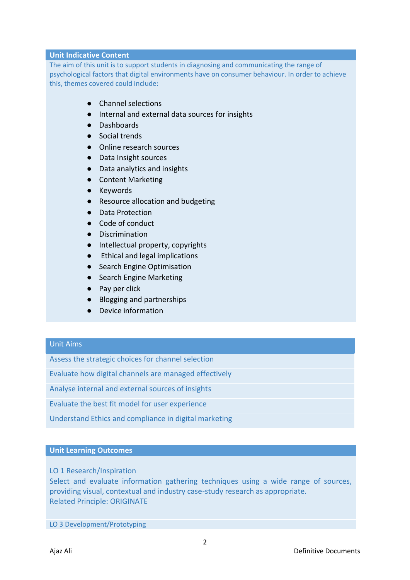## **Unit Indicative Content**

The aim of this unit is to support students in diagnosing and communicating the range of psychological factors that digital environments have on consumer behaviour. In order to achieve this, themes covered could include:

- Channel selections
- Internal and external data sources for insights
- Dashboards
- Social trends
- Online research sources
- Data Insight sources
- Data analytics and insights
- Content Marketing
- Keywords
- Resource allocation and budgeting
- Data Protection
- Code of conduct
- Discrimination
- Intellectual property, copyrights
- Ethical and legal implications
- Search Engine Optimisation
- Search Engine Marketing
- Pay per click
- Blogging and partnerships
- Device information

# Unit Aims

Assess the strategic choices for channel selection

Evaluate how digital channels are managed effectively

Analyse internal and external sources of insights

Evaluate the best fit model for user experience

Understand Ethics and compliance in digital marketing

### **Unit Learning Outcomes**

LO 1 Research/Inspiration

Select and evaluate information gathering techniques using a wide range of sources, providing visual, contextual and industry case-study research as appropriate. Related Principle: ORIGINATE

LO 3 Development/Prototyping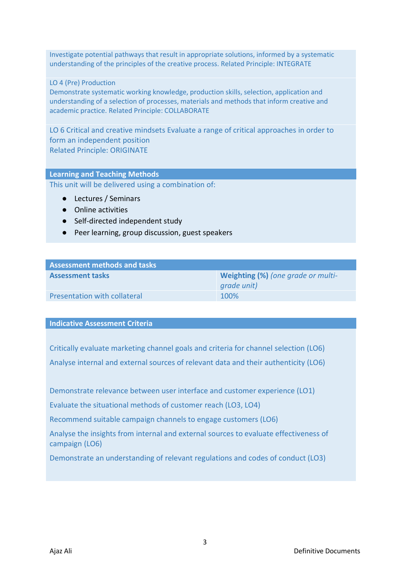Investigate potential pathways that result in appropriate solutions, informed by a systematic understanding of the principles of the creative process. Related Principle: INTEGRATE

## LO 4 (Pre) Production

Demonstrate systematic working knowledge, production skills, selection, application and understanding of a selection of processes, materials and methods that inform creative and academic practice. Related Principle: COLLABORATE

LO 6 Critical and creative mindsets Evaluate a range of critical approaches in order to form an independent position Related Principle: ORIGINATE

#### **Learning and Teaching Methods**

This unit will be delivered using a combination of:

- Lectures / Seminars
- Online activities
- Self-directed independent study
- Peer learning, group discussion, guest speakers

| <b>Assessment methods and tasks</b> |                                    |  |  |  |
|-------------------------------------|------------------------------------|--|--|--|
| <b>Assessment tasks</b>             | Weighting (%) (one grade or multi- |  |  |  |
|                                     | grade unit)                        |  |  |  |
| <b>Presentation with collateral</b> | 100%                               |  |  |  |

#### **Indicative Assessment Criteria**

Critically evaluate marketing channel goals and criteria for channel selection (LO6) Analyse internal and external sources of relevant data and their authenticity (LO6)

Demonstrate relevance between user interface and customer experience (LO1)

Evaluate the situational methods of customer reach (LO3, LO4)

Recommend suitable campaign channels to engage customers (LO6)

Analyse the insights from internal and external sources to evaluate effectiveness of campaign (LO6)

Demonstrate an understanding of relevant regulations and codes of conduct (LO3)